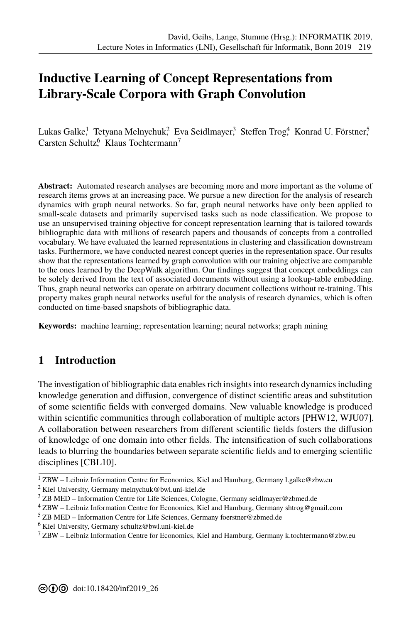# **[I](#page--1-0)nductive Learning of Concept Representations from Library-Scale Corpora with Graph Convolution**

Lukas Galke, Tetyana Melnychuk, Eva Seidlmayer, $^3$  Steffen Trog, $^4$  Konrad U. Förstner, $^5$ Carsten Schultz<sup>6</sup> Klaus Tochtermann<sup>7</sup>

**Abstract:** Automated research analyses are becoming more and more important as the volume of research items grows at an increasing pace. We pursue a new direction for the analysis of research dynamics with graph neural networks. So far, graph neural networks have only been applied to small-scale datasets and primarily supervised tasks such as node classification. We propose to use an unsupervised training objective for concept representation learning that is tailored towards bibliographic data with millions of research papers and thousands of concepts from a controlled vocabulary. We have evaluated the learned representations in clustering and classification downstream tasks. Furthermore, we have conducted nearest concept queries in the representation space. Our results show that the representations learned by graph convolution with our training objective are comparable to the ones learned by the DeepWalk algorithm. Our findings suggest that concept embeddings can be solely derived from the text of associated documents without using a lookup-table embedding. Thus, graph neural networks can operate on arbitrary document collections without re-training. This property makes graph neural networks useful for the analysis of research dynamics, which is often conducted on time-based snapshots of bibliographic data.

**Keywords:** machine learning; representation learning; neural networks; graph mining

### **1 Introduction**

The investigation of bibliographic data enables rich insights into research dynamics including knowledge generation and diffusion, convergence of distinct scientific areas and substitution of some scientific fields with converged domains. New valuable knowledge is produced within scientific communities through collaboration of multiple actors [PHW12, WJU07]. A collaboration between researchers from different scientific fields fosters the diffusion of knowledge of one domain into other fields. The intensification of such collaborations leads to blurring the boundaries between separate scientific fields and to emerging scientific disciplines [CBL10].

 $1$  ZBW – Leibniz Information Centre for Economics, Kiel and Hamburg, Germany l.galke@zbw.eu

<sup>2</sup> Kiel University, Germany melnychuk@bwl.uni-kiel.de

 $3$  ZB MED – Information Centre for Life Sciences, Cologne, Germany seidlmayer@zbmed.de

 $4$  ZBW – Leibniz Information Centre for Economics, Kiel and Hamburg, Germany shtrog@gmail.com

 $5$  ZB MED – Information Centre for Life Sciences, Germany foerstner@zbmed.de

<sup>6</sup> Kiel University, Germany schultz@bwl.uni-kiel.de

 $7$  ZBW – Leibniz Information Centre for Economics, Kiel and Hamburg, Germany k.tochtermann@zbw.eu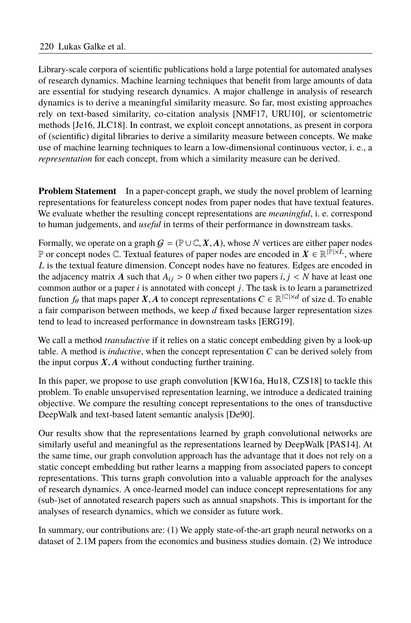Library-scale corpora of scientific publications hold a large potential for automated analyses of research dynamics. Machine learning techniques that benefit from large amounts of data are essential for studying research dynamics. A major challenge in analysis of research dynamics is to derive a meaningful similarity measure. So far, most existing approaches rely on text-based similarity, co-citation analysis [NMF17, URU10], or scientometric methods [Je16, JLC18]. In contrast, we exploit concept annotations, as present in corpora of (scientific) digital libraries to derive a similarity measure between concepts. We make use of machine learning techniques to learn a low-dimensional continuous vector, i. e., a *representation* for each concept, from which a similarity measure can be derived.

**Problem Statement** In a paper-concept graph, we study the novel problem of learning representations for featureless concept nodes from paper nodes that have textual features. We evaluate whether the resulting concept representations are *meaningful*, i. e. correspond to human judgements, and *useful* in terms of their performance in downstream tasks.

Formally, we operate on a graph  $G = (\mathbb{P} \cup \mathbb{C}, X, A)$ , whose *N* vertices are either paper nodes P or concept nodes C. Textual features of paper nodes are encoded in  $X \in \mathbb{R}^{|\mathbb{P}| \times \mathbb{Z}}$ , where *L* is the textual feature dimension. Concept nodes have no features. Edges are encoded in the adjacency matrix A such that  $A_{ij} > 0$  when either two papers *i*,  $j < N$  have at least one common author or a paper *i* is annotated with concept *j*. The task is to learn a parametrized function  $f_{\theta}$  that maps paper  $X, A$  to concept representations  $C \in \mathbb{R}^{|C| \times d}$  of size d. To enable a fair comparison between methods, we keep  $d$  fixed because larger representation sizes tend to lead to increased performance in downstream tasks [ERG19].

We call a method *transductive* if it relies on a static concept embedding given by a look-up table. A method is *inductive*, when the concept representation *C* can be derived solely from the input corpus  $X, A$  without conducting further training.

In this paper, we propose to use graph convolution [KW16a, Hu18, CZS18] to tackle this problem. To enable unsupervised representation learning, we introduce a dedicated training objective. We compare the resulting concept representations to the ones of transductive DeepWalk and text-based latent semantic analysis [De90].

Our results show that the representations learned by graph convolutional networks are similarly useful and meaningful as the representations learned by DeepWalk [PAS14]. At the same time, our graph convolution approach has the advantage that it does not rely on a static concept embedding but rather learns a mapping from associated papers to concept representations. This turns graph convolution into a valuable approach for the analyses of research dynamics. A once-learned model can induce concept representations for any (sub-)set of annotated research papers such as annual snapshots. This is important for the analyses of research dynamics, which we consider as future work.

In summary, our contributions are: (1) We apply state-of-the-art graph neural networks on a dataset of 2.1M papers from the economics and business studies domain. (2) We introduce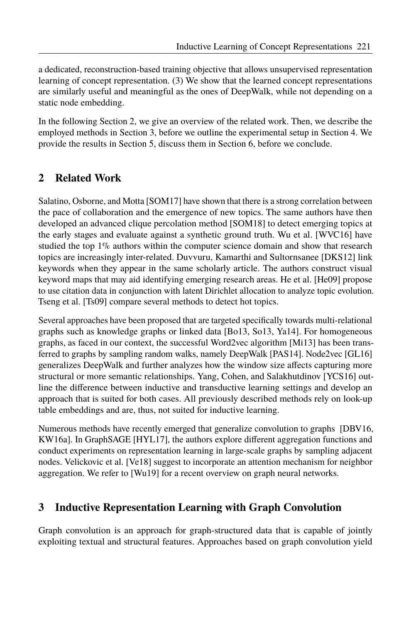a dedicated, reconstruction-based training objective that allows unsupervised representation learning of concept representation. (3) We show that the learned concept representations are similarly useful and meaningful as the ones of DeepWalk, while not depending on a static node embedding.

In the following Section 2, we give an overview of the related work. Then, we describe the employed methods in Section 3, before we outline the experimental setup in Section 4. We provide the results in Section 5, discuss them in Section 6, before we conclude.

## **2 Related Work**

Salatino, Osborne, and Motta [SOM17] have shown that there is a strong correlation between the pace of collaboration and the emergence of new topics. The same authors have then developed an advanced clique percolation method [SOM18] to detect emerging topics at the early stages and evaluate against a synthetic ground truth. Wu et al. [WVC16] have studied the top 1% authors within the computer science domain and show that research topics are increasingly inter-related. Duvvuru, Kamarthi and Sultornsanee [DKS12] link keywords when they appear in the same scholarly article. The authors construct visual keyword maps that may aid identifying emerging research areas. He et al. [He09] propose to use citation data in conjunction with latent Dirichlet allocation to analyze topic evolution. Tseng et al. [Ts09] compare several methods to detect hot topics.

Several approaches have been proposed that are targeted specifically towards multi-relational graphs such as knowledge graphs or linked data [Bo13, So13, Ya14]. For homogeneous graphs, as faced in our context, the successful Word2vec algorithm [Mi13] has been transferred to graphs by sampling random walks, namely DeepWalk [PAS14]. Node2vec [GL16] generalizes DeepWalk and further analyzes how the window size affects capturing more structural or more semantic relationships. Yang, Cohen, and Salakhutdinov [YCS16] outline the difference between inductive and transductive learning settings and develop an approach that is suited for both cases. All previously described methods rely on look-up table embeddings and are, thus, not suited for inductive learning.

Numerous methods have recently emerged that generalize convolution to graphs [DBV16, KW16a]. In GraphSAGE [HYL17], the authors explore different aggregation functions and conduct experiments on representation learning in large-scale graphs by sampling adjacent nodes. Velickovic et al. [Ve18] suggest to incorporate an attention mechanism for neighbor aggregation. We refer to [Wu19] for a recent overview on graph neural networks.

### **3 Inductive Representation Learning with Graph Convolution**

Graph convolution is an approach for graph-structured data that is capable of jointly exploiting textual and structural features. Approaches based on graph convolution yield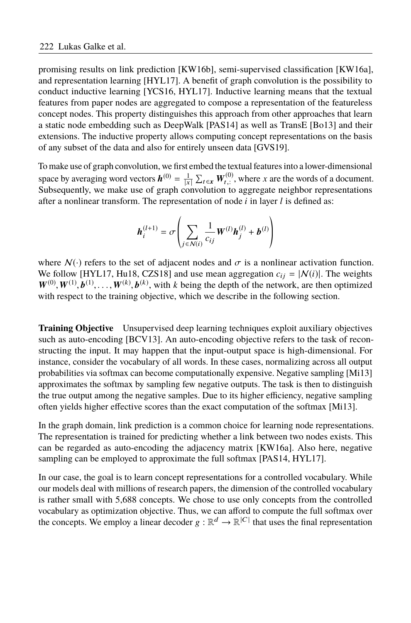promising results on link prediction [KW16b], semi-supervised classification [KW16a], and representation learning  $[HYL17]$ . A benefit of graph convolution is the possibility to conduct inductive learning [YCS16, HYL17]. Inductive learning means that the textual features from paper nodes are aggregated to compose a representation of the featureless concept nodes. This property distinguishes this approach from other approaches that learn a static node embedding such as DeepWalk [PAS14] as well as TransE [Bo13] and their extensions. The inductive property allows computing concept representations on the basis of any subset of the data and also for entirely unseen data [GVS19].

To make use of graph convolution, we first embed the textual features into a lower-dimensional space by averaging word vectors  $h^{(0)} = \frac{1}{|x|}$  $\sum_{t \in \mathbf{x}} W_{t,:}^{(0)}$ , where *x* are the words of a document. Subsequently, we make use of graph convolution to aggregate neighbor representations after a nonlinear transform. The representation of node  $i$  in layer  $l$  is defined as:

$$
\boldsymbol{h}_i^{(l+1)} = \sigma \left( \sum_{j \in \mathcal{N}(i)} \frac{1}{c_{ij}} \boldsymbol{W}^{(l)} \boldsymbol{h}_j^{(l)} + \boldsymbol{b}^{(l)} \right)
$$

where  $\mathcal{N}(\cdot)$  refers to the set of adjacent nodes and  $\sigma$  is a nonlinear activation function. We follow [HYL17, Hu18, CZS18] and use mean aggregation  $c_{ij} = |N(i)|$ . The weights  $W^{(0)}, W^{(1)}, b^{(1)}, \ldots, W^{(k)}, b^{(k)}$ , with *k* being the depth of the network, are then optimized with respect to the training objective, which we describe in the following section.

**Training Objective** Unsupervised deep learning techniques exploit auxiliary objectives such as auto-encoding [BCV13]. An auto-encoding objective refers to the task of reconstructing the input. It may happen that the input-output space is high-dimensional. For instance, consider the vocabulary of all words. In these cases, normalizing across all output probabilities via softmax can become computationally expensive. Negative sampling [Mi13] approximates the softmax by sampling few negative outputs. The task is then to distinguish the true output among the negative samples. Due to its higher efficiency, negative sampling often yields higher effective scores than the exact computation of the softmax [Mi13].

In the graph domain, link prediction is a common choice for learning node representations. The representation is trained for predicting whether a link between two nodes exists. This can be regarded as auto-encoding the adjacency matrix [KW16a]. Also here, negative sampling can be employed to approximate the full softmax [PAS14, HYL17].

In our case, the goal is to learn concept representations for a controlled vocabulary. While our models deal with millions of research papers, the dimension of the controlled vocabulary is rather small with 5,688 concepts. We chose to use only concepts from the controlled vocabulary as optimization objective. Thus, we can afford to compute the full softmax over the concepts. We employ a linear decoder  $g : \mathbb{R}^d \to \mathbb{R}^{|C|}$  that uses the final representation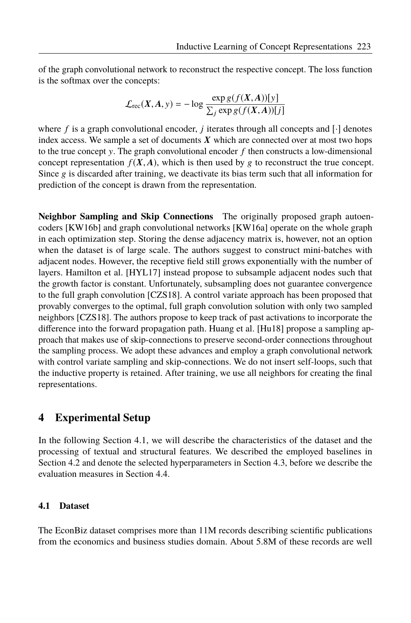of the graph convolutional network to reconstruct the respective concept. The loss function is the softmax over the concepts:

$$
\mathcal{L}_{\text{rec}}(X, A, y) = -\log \frac{\exp g(f(X, A))[y]}{\sum_j \exp g(f(X, A))[j]}
$$

where  $f$  is a graph convolutional encoder,  $j$  iterates through all concepts and  $[\cdot]$  denotes index access. We sample a set of documents  $X$  which are connected over at most two hops to the true concept y. The graph convolutional encoder  $f$  then constructs a low-dimensional concept representation  $f(X, A)$ , which is then used by g to reconstruct the true concept. Since g is discarded after training, we deactivate its bias term such that all information for prediction of the concept is drawn from the representation.

**Neighbor Sampling and Skip Connections** The originally proposed graph autoencoders [KW16b] and graph convolutional networks [KW16a] operate on the whole graph in each optimization step. Storing the dense adjacency matrix is, however, not an option when the dataset is of large scale. The authors suggest to construct mini-batches with adjacent nodes. However, the receptive field still grows exponentially with the number of layers. Hamilton et al. [HYL17] instead propose to subsample adjacent nodes such that the growth factor is constant. Unfortunately, subsampling does not guarantee convergence to the full graph convolution [CZS18]. A control variate approach has been proposed that provably converges to the optimal, full graph convolution solution with only two sampled neighbors [CZS18]. The authors propose to keep track of past activations to incorporate the difference into the forward propagation path. Huang et al. [Hu18] propose a sampling approach that makes use of skip-connections to preserve second-order connections throughout the sampling process. We adopt these advances and employ a graph convolutional network with control variate sampling and skip-connections. We do not insert self-loops, such that the inductive property is retained. After training, we use all neighbors for creating the final representations.

### **4 Experimental Setup**

In the following Section 4.1, we will describe the characteristics of the dataset and the processing of textual and structural features. We described the employed baselines in Section 4.2 and denote the selected hyperparameters in Section 4.3, before we describe the evaluation measures in Section 4.4.

#### **4.1 Dataset**

The EconBiz dataset comprises more than 11M records describing scientific publications from the economics and business studies domain. About 5.8M of these records are well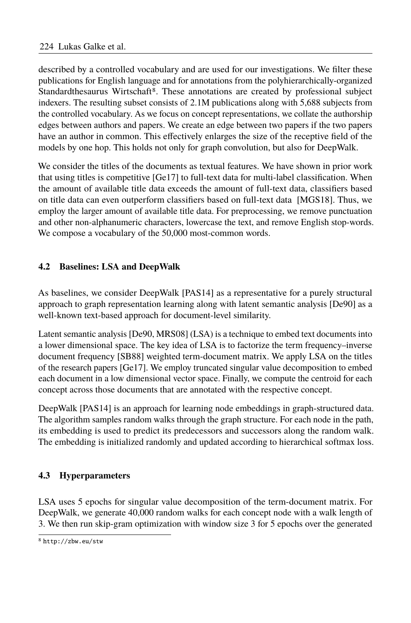described by a controlled vocabulary and are used for our investigations. We filter these publications for English language and for annotations from the polyhierarchically-organized Standardthesaurus Wirtschaft8. These annotations are created by professional subject indexers. The resulting subset consists of 2.1M publications along with 5,688 subjects from the controlled vocabulary. As we focus on concept representations, we collate the authorship edges between authors and papers. We create an edge between two papers if the two papers have an author in common. This effectively enlarges the size of the receptive field of the models by one hop. This holds not only for graph convolution, but also for DeepWalk.

We consider the titles of the documents as textual features. We have shown in prior work that using titles is competitive  $[Ge17]$  to full-text data for multi-label classification. When the amount of available title data exceeds the amount of full-text data, classifiers based on title data can even outperform classifiers based on full-text data [MGS18]. Thus, we employ the larger amount of available title data. For preprocessing, we remove punctuation and other non-alphanumeric characters, lowercase the text, and remove English stop-words. We compose a vocabulary of the 50,000 most-common words.

### **4.2 Baselines: LSA and DeepWalk**

As baselines, we consider DeepWalk [PAS14] as a representative for a purely structural approach to graph representation learning along with latent semantic analysis [De90] as a well-known text-based approach for document-level similarity.

Latent semantic analysis [De90, MRS08] (LSA) is a technique to embed text documents into a lower dimensional space. The key idea of LSA is to factorize the term frequency–inverse document frequency [SB88] weighted term-document matrix. We apply LSA on the titles of the research papers [Ge17]. We employ truncated singular value decomposition to embed each document in a low dimensional vector space. Finally, we compute the centroid for each concept across those documents that are annotated with the respective concept.

DeepWalk [PAS14] is an approach for learning node embeddings in graph-structured data. The algorithm samples random walks through the graph structure. For each node in the path, its embedding is used to predict its predecessors and successors along the random walk. The embedding is initialized randomly and updated according to hierarchical softmax loss.

### **4.3 Hyperparameters**

LSA uses 5 epochs for singular value decomposition of the term-document matrix. For DeepWalk, we generate 40,000 random walks for each concept node with a walk length of 3. We then run skip-gram optimization with window size 3 for 5 epochs over the generated

<sup>8</sup> http://zbw.eu/stw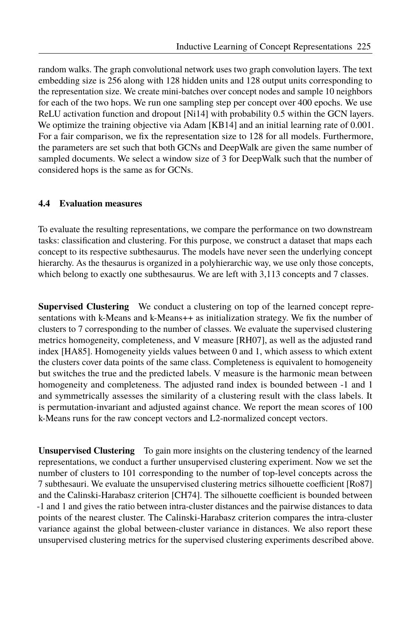random walks. The graph convolutional network uses two graph convolution layers. The text embedding size is 256 along with 128 hidden units and 128 output units corresponding to the representation size. We create mini-batches over concept nodes and sample 10 neighbors for each of the two hops. We run one sampling step per concept over 400 epochs. We use ReLU activation function and dropout [Ni14] with probability 0.5 within the GCN layers. We optimize the training objective via Adam [KB14] and an initial learning rate of 0.001. For a fair comparison, we fix the representation size to 128 for all models. Furthermore, the parameters are set such that both GCNs and DeepWalk are given the same number of sampled documents. We select a window size of 3 for DeepWalk such that the number of considered hops is the same as for GCNs.

#### **4.4 Evaluation measures**

To evaluate the resulting representations, we compare the performance on two downstream tasks: classification and clustering. For this purpose, we construct a dataset that maps each concept to its respective subthesaurus. The models have never seen the underlying concept hierarchy. As the thesaurus is organized in a polyhierarchic way, we use only those concepts, which belong to exactly one subthesaurus. We are left with 3,113 concepts and 7 classes.

**Supervised Clustering** We conduct a clustering on top of the learned concept representations with k-Means and k-Means++ as initialization strategy. We fix the number of clusters to 7 corresponding to the number of classes. We evaluate the supervised clustering metrics homogeneity, completeness, and V measure [RH07], as well as the adjusted rand index [HA85]. Homogeneity yields values between 0 and 1, which assess to which extent the clusters cover data points of the same class. Completeness is equivalent to homogeneity but switches the true and the predicted labels. V measure is the harmonic mean between homogeneity and completeness. The adjusted rand index is bounded between -1 and 1 and symmetrically assesses the similarity of a clustering result with the class labels. It is permutation-invariant and adjusted against chance. We report the mean scores of 100 k-Means runs for the raw concept vectors and L2-normalized concept vectors.

**Unsupervised Clustering** To gain more insights on the clustering tendency of the learned representations, we conduct a further unsupervised clustering experiment. Now we set the number of clusters to 101 corresponding to the number of top-level concepts across the 7 subthesauri. We evaluate the unsupervised clustering metrics silhouette coefficient [Ro87] and the Calinski-Harabasz criterion [CH74]. The silhouette coefficient is bounded between -1 and 1 and gives the ratio between intra-cluster distances and the pairwise distances to data points of the nearest cluster. The Calinski-Harabasz criterion compares the intra-cluster variance against the global between-cluster variance in distances. We also report these unsupervised clustering metrics for the supervised clustering experiments described above.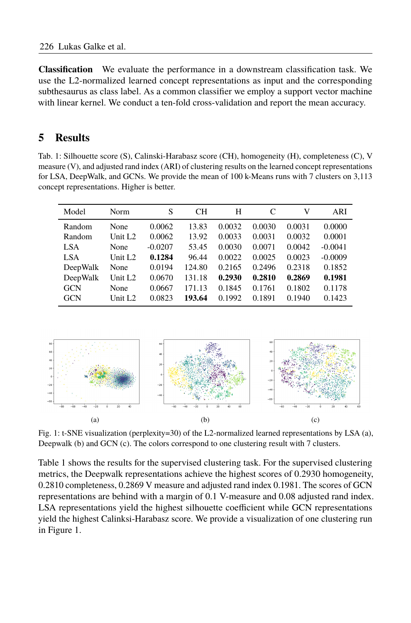**Classification** We evaluate the performance in a downstream classification task. We use the L2-normalized learned concept representations as input and the corresponding subthesaurus as class label. As a common classifier we employ a support vector machine with linear kernel. We conduct a ten-fold cross-validation and report the mean accuracy.

### **5 Results**

Tab. 1: Silhouette score (S), Calinski-Harabasz score (CH), homogeneity (H), completeness (C), V measure (V), and adjusted rand index (ARI) of clustering results on the learned concept representations for LSA, DeepWalk, and GCNs. We provide the mean of 100 k-Means runs with 7 clusters on 3,113 concept representations. Higher is better.

| Model      | <b>Norm</b>         | S         | CН     | H      | C      | V      | ARI       |
|------------|---------------------|-----------|--------|--------|--------|--------|-----------|
| Random     | None                | 0.0062    | 13.83  | 0.0032 | 0.0030 | 0.0031 | 0.0000    |
| Random     | Unit L <sub>2</sub> | 0.0062    | 13.92  | 0.0033 | 0.0031 | 0.0032 | 0.0001    |
| LSA.       | None                | $-0.0207$ | 53.45  | 0.0030 | 0.0071 | 0.0042 | $-0.0041$ |
| LSA        | Unit $L2$           | 0.1284    | 96.44  | 0.0022 | 0.0025 | 0.0023 | $-0.0009$ |
| DeepWalk   | None                | 0.0194    | 124.80 | 0.2165 | 0.2496 | 0.2318 | 0.1852    |
| DeepWalk   | Unit L <sub>2</sub> | 0.0670    | 131.18 | 0.2930 | 0.2810 | 0.2869 | 0.1981    |
| <b>GCN</b> | None                | 0.0667    | 171.13 | 0.1845 | 0.1761 | 0.1802 | 0.1178    |
| <b>GCN</b> | Unit L <sub>2</sub> | 0.0823    | 193.64 | 0.1992 | 0.1891 | 0.1940 | 0.1423    |



Fig. 1: t-SNE visualization (perplexity=30) of the L2-normalized learned representations by LSA (a), Deepwalk (b) and GCN (c). The colors correspond to one clustering result with 7 clusters.

Table 1 shows the results for the supervised clustering task. For the supervised clustering metrics, the Deepwalk representations achieve the highest scores of 0.2930 homogeneity, 0.2810 completeness, 0.2869 V measure and adjusted rand index 0.1981. The scores of GCN representations are behind with a margin of 0.1 V-measure and 0.08 adjusted rand index. LSA representations yield the highest silhouette coefficient while GCN representations yield the highest Calinksi-Harabasz score. We provide a visualization of one clustering run in Figure 1.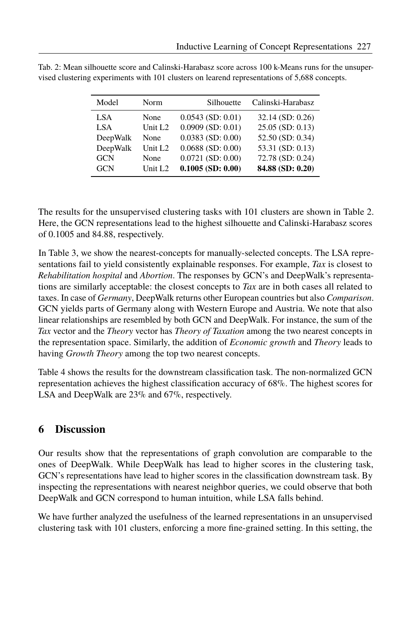| Model      | Norm                | Silhouette             | Calinski-Harabasz  |
|------------|---------------------|------------------------|--------------------|
| LSA        | None                | $0.0543$ (SD: $0.01$ ) | 32.14 (SD: 0.26)   |
| LSA        | Unit L <sub>2</sub> | $0.0909$ (SD: $0.01$ ) | $25.05$ (SD: 0.13) |
| DeepWalk   | None                | $0.0383$ (SD: $0.00$ ) | 52.50 (SD: 0.34)   |
| DeepWalk   | Unit L <sub>2</sub> | $0.0688$ (SD: $0.00$ ) | 53.31 (SD: 0.13)   |
| <b>GCN</b> | None                | $0.0721$ (SD: $0.00$ ) | 72.78 (SD: 0.24)   |
| <b>GCN</b> | Unit L <sub>2</sub> | $0.1005$ (SD: $0.00$ ) | 84.88 (SD: 0.20)   |

Tab. 2: Mean silhouette score and Calinski-Harabasz score across 100 k-Means runs for the unsupervised clustering experiments with 101 clusters on learend representations of 5,688 concepts.

The results for the unsupervised clustering tasks with 101 clusters are shown in Table 2. Here, the GCN representations lead to the highest silhouette and Calinski-Harabasz scores of 0.1005 and 84.88, respectively.

In Table 3, we show the nearest-concepts for manually-selected concepts. The LSA representations fail to yield consistently explainable responses. For example, *Tax* is closest to *Rehabilitation hospital* and *Abortion*. The responses by GCN's and DeepWalk's representations are similarly acceptable: the closest concepts to *Tax* are in both cases all related to taxes. In case of *Germany*, DeepWalk returns other European countries but also *Comparison*. GCN yields parts of Germany along with Western Europe and Austria. We note that also linear relationships are resembled by both GCN and DeepWalk. For instance, the sum of the *Tax* vector and the *Theory* vector has *Theory of Taxation* among the two nearest concepts in the representation space. Similarly, the addition of *Economic growth* and *Theory* leads to having *Growth Theory* among the top two nearest concepts.

Table 4 shows the results for the downstream classification task. The non-normalized GCN representation achieves the highest classification accuracy of  $68\%$ . The highest scores for LSA and DeepWalk are 23% and 67%, respectively.

### **6 Discussion**

Our results show that the representations of graph convolution are comparable to the ones of DeepWalk. While DeepWalk has lead to higher scores in the clustering task, GCN's representations have lead to higher scores in the classification downstream task. By inspecting the representations with nearest neighbor queries, we could observe that both DeepWalk and GCN correspond to human intuition, while LSA falls behind.

We have further analyzed the usefulness of the learned representations in an unsupervised clustering task with 101 clusters, enforcing a more fine-grained setting. In this setting, the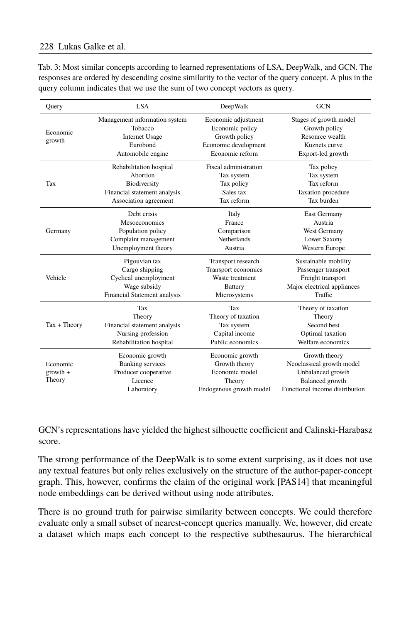| Query              | <b>LSA</b>                               | DeepWalk                               | <b>GCN</b>                              |  |
|--------------------|------------------------------------------|----------------------------------------|-----------------------------------------|--|
| Economic<br>growth | Management information system<br>Tobacco | Economic adjustment<br>Economic policy | Stages of growth model<br>Growth policy |  |
|                    | <b>Internet Usage</b>                    | Growth policy                          | Resource wealth                         |  |
|                    | Eurobond                                 | Economic development                   | Kuznets curve                           |  |
|                    | Automobile engine                        | Economic reform                        | Export-led growth                       |  |
|                    | Rehabilitation hospital                  | Fiscal administration                  | Tax policy                              |  |
|                    | Abortion                                 | Tax system                             | Tax system                              |  |
| Tax                | Biodiversity                             | Tax policy                             | Tax reform                              |  |
|                    | Financial statement analysis             | Sales tax                              | Taxation procedure                      |  |
|                    | Association agreement                    | Tax reform                             | Tax burden                              |  |
| Germany            | Debt crisis                              | Italy                                  | <b>East Germany</b>                     |  |
|                    | Mesoeconomics                            | France                                 | Austria                                 |  |
|                    | Population policy                        | Comparison                             | West Germany                            |  |
|                    | Complaint management                     | <b>Netherlands</b>                     | Lower Saxony                            |  |
|                    | Unemployment theory                      | Austria                                | Western Europe                          |  |
| Vehicle            | Pigouvian tax                            | Transport research                     | Sustainable mobility                    |  |
|                    | Cargo shipping                           | Transport economics                    | Passenger transport                     |  |
|                    | Cyclical unemployment                    | Waste treatment                        | Freight transport                       |  |
|                    | Wage subsidy                             | <b>Battery</b>                         | Major electrical appliances             |  |
|                    | Financial Statement analysis             | Microsystems                           | Traffic                                 |  |
| $Tax + Theory$     | Tax                                      | Tax                                    | Theory of taxation                      |  |
|                    | Theory                                   | Theory of taxation                     | Theory                                  |  |
|                    | Financial statement analysis             | Tax system                             | Second best                             |  |
|                    | Nursing profession                       | Capital income                         | Optimal taxation                        |  |
|                    | Rehabilitation hospital                  | Public economics                       | Welfare economics                       |  |
|                    | Economic growth                          | Economic growth                        | Growth theory                           |  |
| Economic           | <b>Banking services</b>                  | Growth theory                          | Neoclassical growth model               |  |
| $growth +$         | Producer cooperative                     | Economic model                         | Unbalanced growth                       |  |
| Theory             | Licence                                  | Theory                                 | Balanced growth                         |  |
|                    | Laboratory                               | Endogenous growth model                | Functional income distribution          |  |

Tab. 3: Most similar concepts according to learned representations of LSA, DeepWalk, and GCN. The responses are ordered by descending cosine similarity to the vector of the query concept. A plus in the query column indicates that we use the sum of two concept vectors as query.

GCN's representations have yielded the highest silhouette coefficient and Calinski-Harabasz score.

The strong performance of the DeepWalk is to some extent surprising, as it does not use any textual features but only relies exclusively on the structure of the author-paper-concept graph. This, however, confirms the claim of the original work [PAS14] that meaningful node embeddings can be derived without using node attributes.

There is no ground truth for pairwise similarity between concepts. We could therefore evaluate only a small subset of nearest-concept queries manually. We, however, did create a dataset which maps each concept to the respective subthesaurus. The hierarchical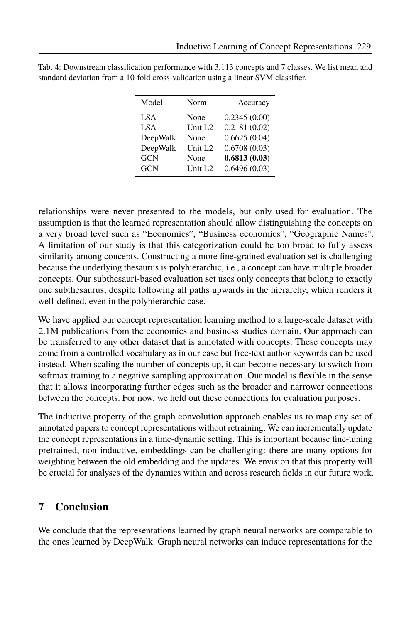| Model      | Norm                | Accuracy     |
|------------|---------------------|--------------|
| LSA        | None                | 0.2345(0.00) |
| <b>LSA</b> | Unit L <sub>2</sub> | 0.2181(0.02) |
| DeepWalk   | None                | 0.6625(0.04) |
| DeepWalk   | Unit L <sub>2</sub> | 0.6708(0.03) |
| <b>GCN</b> | None                | 0.6813(0.03) |
| <b>GCN</b> | Unit L <sub>2</sub> | 0.6496(0.03) |

Tab. 4: Downstream classification performance with 3,113 concepts and 7 classes. We list mean and standard deviation from a 10-fold cross-validation using a linear SVM classifier.

relationships were never presented to the models, but only used for evaluation. The assumption is that the learned representation should allow distinguishing the concepts on a very broad level such as "Economics", "Business economics", "Geographic Names". A limitation of our study is that this categorization could be too broad to fully assess similarity among concepts. Constructing a more fine-grained evaluation set is challenging because the underlying thesaurus is polyhierarchic, i.e., a concept can have multiple broader concepts. Our subthesauri-based evaluation set uses only concepts that belong to exactly one subthesaurus, despite following all paths upwards in the hierarchy, which renders it well-defined, even in the polyhierarchic case.

We have applied our concept representation learning method to a large-scale dataset with 2.1M publications from the economics and business studies domain. Our approach can be transferred to any other dataset that is annotated with concepts. These concepts may come from a controlled vocabulary as in our case but free-text author keywords can be used instead. When scaling the number of concepts up, it can become necessary to switch from softmax training to a negative sampling approximation. Our model is flexible in the sense that it allows incorporating further edges such as the broader and narrower connections between the concepts. For now, we held out these connections for evaluation purposes.

The inductive property of the graph convolution approach enables us to map any set of annotated papers to concept representations without retraining. We can incrementally update the concept representations in a time-dynamic setting. This is important because fine-tuning pretrained, non-inductive, embeddings can be challenging: there are many options for weighting between the old embedding and the updates. We envision that this property will be crucial for analyses of the dynamics within and across research fields in our future work.

### **7 Conclusion**

We conclude that the representations learned by graph neural networks are comparable to the ones learned by DeepWalk. Graph neural networks can induce representations for the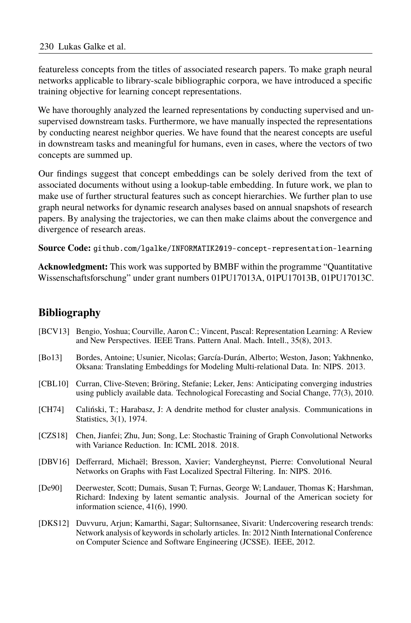featureless concepts from the titles of associated research papers. To make graph neural networks applicable to library-scale bibliographic corpora, we have introduced a specific training objective for learning concept representations.

We have thoroughly analyzed the learned representations by conducting supervised and unsupervised downstream tasks. Furthermore, we have manually inspected the representations by conducting nearest neighbor queries. We have found that the nearest concepts are useful in downstream tasks and meaningful for humans, even in cases, where the vectors of two concepts are summed up.

Our findings suggest that concept embeddings can be solely derived from the text of associated documents without using a lookup-table embedding. In future work, we plan to make use of further structural features such as concept hierarchies. We further plan to use graph neural networks for dynamic research analyses based on annual snapshots of research papers. By analysing the trajectories, we can then make claims about the convergence and divergence of research areas.

**Source Code:** github.com/lgalke/INFORMATIK2019-concept-representation-learning

**Acknowledgment:** This work was supported by BMBF within the programme "Quantitative" Wissenschaftsforschung" under grant numbers 01PU17013A, 01PU17013B, 01PU17013C.

# **Bibliography**

- [BCV13] Bengio, Yoshua; Courville, Aaron C.; Vincent, Pascal: Representation Learning: A Review and New Perspectives. IEEE Trans. Pattern Anal. Mach. Intell., 35(8), 2013.
- [Bo13] Bordes, Antoine; Usunier, Nicolas; García-Durán, Alberto; Weston, Jason; Yakhnenko, Oksana: Translating Embeddings for Modeling Multi-relational Data. In: NIPS. 2013.
- [CBL10] Curran, Clive-Steven; Bröring, Stefanie; Leker, Jens: Anticipating converging industries using publicly available data. Technological Forecasting and Social Change, 77(3), 2010.
- [CH74] Caliński, T.; Harabasz, J: A dendrite method for cluster analysis. Communications in Statistics, 3(1), 1974.
- [CZS18] Chen, Jianfei; Zhu, Jun; Song, Le: Stochastic Training of Graph Convolutional Networks with Variance Reduction. In: ICML 2018. 2018.
- [DBV16] Defferrard, Michaël; Bresson, Xavier; Vandergheynst, Pierre: Convolutional Neural Networks on Graphs with Fast Localized Spectral Filtering. In: NIPS. 2016.
- [De90] Deerwester, Scott; Dumais, Susan T; Furnas, George W; Landauer, Thomas K; Harshman, Richard: Indexing by latent semantic analysis. Journal of the American society for information science, 41(6), 1990.
- [DKS12] Duvvuru, Arjun; Kamarthi, Sagar; Sultornsanee, Sivarit: Undercovering research trends: Network analysis of keywords in scholarly articles. In: 2012 Ninth International Conference on Computer Science and Software Engineering (JCSSE). IEEE, 2012.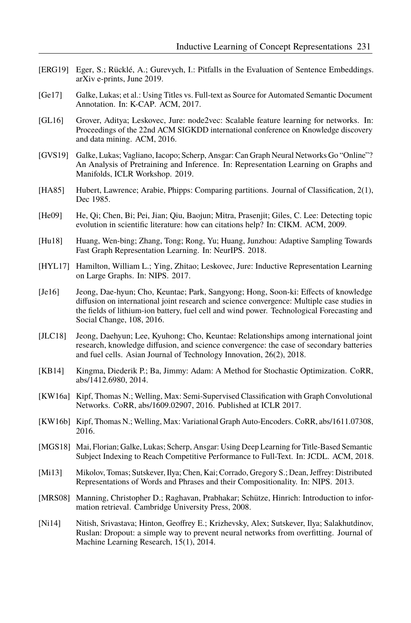- [ERG19] Eger, S.; Rücklé, A.; Gurevych, I.: Pitfalls in the Evaluation of Sentence Embeddings. arXiv e-prints, June 2019.
- [Ge17] Galke, Lukas; et al.: Using Titles vs. Full-text as Source for Automated Semantic Document Annotation. In: K-CAP. ACM, 2017.
- [GL16] Grover, Aditya; Leskovec, Jure: node2vec: Scalable feature learning for networks. In: Proceedings of the 22nd ACM SIGKDD international conference on Knowledge discovery and data mining. ACM, 2016.
- [GVS19] Galke, Lukas; Vagliano, Iacopo; Scherp, Ansgar; Can Graph Neural Networks Go "Online"? An Analysis of Pretraining and Inference. In: Representation Learning on Graphs and Manifolds, ICLR Workshop. 2019.
- [HA85] Hubert, Lawrence; Arabie, Phipps: Comparing partitions. Journal of Classification, 2(1), Dec 1985.
- [He09] He, Qi; Chen, Bi; Pei, Jian; Qiu, Baojun; Mitra, Prasenjit; Giles, C. Lee: Detecting topic evolution in scientific literature: how can citations help? In: CIKM. ACM, 2009.
- [Hu18] Huang, Wen-bing; Zhang, Tong; Rong, Yu; Huang, Junzhou: Adaptive Sampling Towards Fast Graph Representation Learning. In: NeurIPS. 2018.
- [HYL17] Hamilton, William L.; Ying, Zhitao; Leskovec, Jure: Inductive Representation Learning on Large Graphs. In: NIPS. 2017.
- [Je16] Jeong, Dae-hyun; Cho, Keuntae; Park, Sangyong; Hong, Soon-ki: Effects of knowledge diffusion on international joint research and science convergence: Multiple case studies in the fields of lithium-ion battery, fuel cell and wind power. Technological Forecasting and Social Change, 108, 2016.
- [JLC18] Jeong, Daehyun; Lee, Kyuhong; Cho, Keuntae: Relationships among international joint research, knowledge diffusion, and science convergence: the case of secondary batteries and fuel cells. Asian Journal of Technology Innovation, 26(2), 2018.
- [KB14] Kingma, Diederik P.; Ba, Jimmy: Adam: A Method for Stochastic Optimization. CoRR, abs/1412.6980, 2014.
- [KW16a] Kipf, Thomas N.; Welling, Max: Semi-Supervised Classification with Graph Convolutional Networks. CoRR, abs/1609.02907, 2016. Published at ICLR 2017.
- [KW16b] Kipf, Thomas N.; Welling, Max: Variational Graph Auto-Encoders. CoRR, abs/1611.07308, 2016.
- [MGS18] Mai, Florian; Galke, Lukas; Scherp, Ansgar: Using Deep Learning for Title-Based Semantic Subject Indexing to Reach Competitive Performance to Full-Text. In: JCDL. ACM, 2018.
- [Mi13] Mikolov, Tomas; Sutskever, Ilya; Chen, Kai; Corrado, Gregory S.; Dean, Jeffrey: Distributed Representations of Words and Phrases and their Compositionality. In: NIPS. 2013.
- [MRS08] Manning, Christopher D.; Raghavan, Prabhakar; Schütze, Hinrich: Introduction to information retrieval. Cambridge University Press, 2008.
- [Ni14] Nitish, Srivastava; Hinton, Geoffrey E.; Krizhevsky, Alex; Sutskever, Ilya; Salakhutdinov, Ruslan: Dropout: a simple way to prevent neural networks from overfitting. Journal of Machine Learning Research, 15(1), 2014.